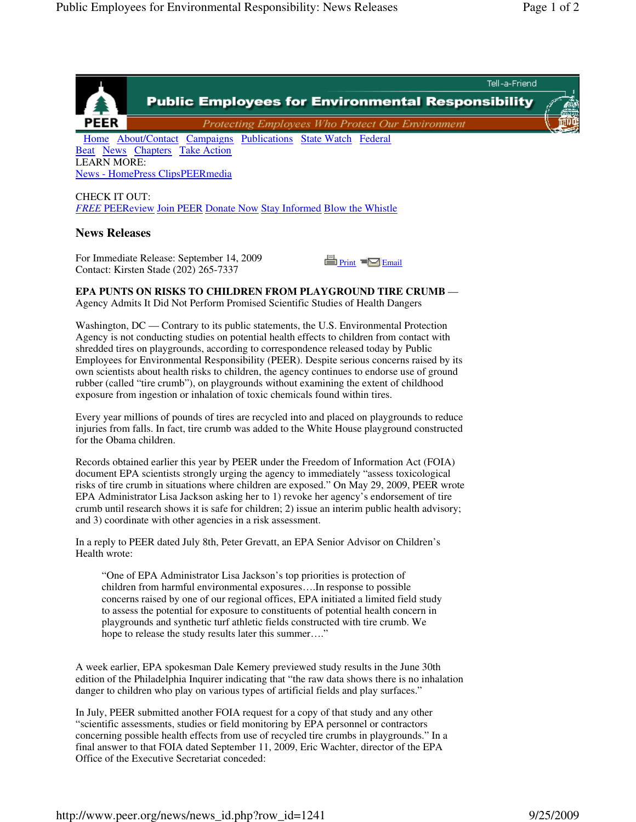

LEARN MORE: News - HomePress ClipsPEERmedia

CHECK IT OUT: *FREE* PEEReview Join PEER Donate Now Stay Informed Blow the Whistle

## **News Releases**

For Immediate Release: September 14, 2009 Contact: Kirsten Stade (202) 265-7337



**EPA PUNTS ON RISKS TO CHILDREN FROM PLAYGROUND TIRE CRUMB** — Agency Admits It Did Not Perform Promised Scientific Studies of Health Dangers

Washington, DC — Contrary to its public statements, the U.S. Environmental Protection Agency is not conducting studies on potential health effects to children from contact with shredded tires on playgrounds, according to correspondence released today by Public Employees for Environmental Responsibility (PEER). Despite serious concerns raised by its own scientists about health risks to children, the agency continues to endorse use of ground rubber (called "tire crumb"), on playgrounds without examining the extent of childhood exposure from ingestion or inhalation of toxic chemicals found within tires.

Every year millions of pounds of tires are recycled into and placed on playgrounds to reduce injuries from falls. In fact, tire crumb was added to the White House playground constructed for the Obama children.

Records obtained earlier this year by PEER under the Freedom of Information Act (FOIA) document EPA scientists strongly urging the agency to immediately "assess toxicological risks of tire crumb in situations where children are exposed." On May 29, 2009, PEER wrote EPA Administrator Lisa Jackson asking her to 1) revoke her agency's endorsement of tire crumb until research shows it is safe for children; 2) issue an interim public health advisory; and 3) coordinate with other agencies in a risk assessment.

In a reply to PEER dated July 8th, Peter Grevatt, an EPA Senior Advisor on Children's Health wrote:

"One of EPA Administrator Lisa Jackson's top priorities is protection of children from harmful environmental exposures….In response to possible concerns raised by one of our regional offices, EPA initiated a limited field study to assess the potential for exposure to constituents of potential health concern in playgrounds and synthetic turf athletic fields constructed with tire crumb. We hope to release the study results later this summer...."

A week earlier, EPA spokesman Dale Kemery previewed study results in the June 30th edition of the Philadelphia Inquirer indicating that "the raw data shows there is no inhalation danger to children who play on various types of artificial fields and play surfaces."

In July, PEER submitted another FOIA request for a copy of that study and any other "scientific assessments, studies or field monitoring by EPA personnel or contractors concerning possible health effects from use of recycled tire crumbs in playgrounds." In a final answer to that FOIA dated September 11, 2009, Eric Wachter, director of the EPA Office of the Executive Secretariat conceded: